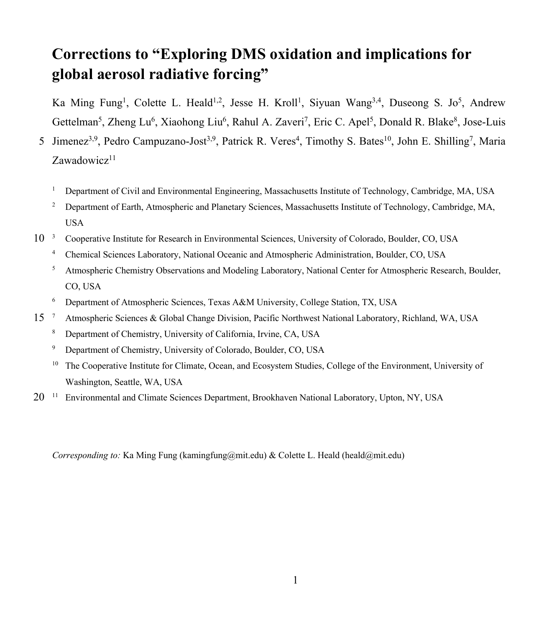## **Corrections to "Exploring DMS oxidation and implications for global aerosol radiative forcing"**

Ka Ming Fung<sup>1</sup>, Colette L. Heald<sup>1,2</sup>, Jesse H. Kroll<sup>1</sup>, Siyuan Wang<sup>3,4</sup>, Duseong S. Jo<sup>5</sup>, Andrew Gettelman<sup>5</sup>, Zheng Lu<sup>6</sup>, Xiaohong Liu<sup>6</sup>, Rahul A. Zaveri<sup>7</sup>, Eric C. Apel<sup>5</sup>, Donald R. Blake<sup>8</sup>, Jose-Luis

- 5 Jimenez<sup>3,9</sup>, Pedro Campuzano-Jost<sup>3,9</sup>, Patrick R. Veres<sup>4</sup>, Timothy S. Bates<sup>10</sup>, John E. Shilling<sup>7</sup>, Maria  $Z$ awadowic $z^{11}$ 
	- <sup>1</sup> Department of Civil and Environmental Engineering, Massachusetts Institute of Technology, Cambridge, MA, USA
	- <sup>2</sup> Department of Earth, Atmospheric and Planetary Sciences, Massachusetts Institute of Technology, Cambridge, MA, USA
- 10<sup>3</sup> Cooperative Institute for Research in Environmental Sciences, University of Colorado, Boulder, CO, USA
	- <sup>4</sup> Chemical Sciences Laboratory, National Oceanic and Atmospheric Administration, Boulder, CO, USA
	- <sup>5</sup> Atmospheric Chemistry Observations and Modeling Laboratory, National Center for Atmospheric Research, Boulder, CO, USA
	- <sup>6</sup> Department of Atmospheric Sciences, Texas A&M University, College Station, TX, USA
- 15 <sup>7</sup> Atmospheric Sciences & Global Change Division, Pacific Northwest National Laboratory, Richland, WA, USA
	- <sup>8</sup> Department of Chemistry, University of California, Irvine, CA, USA
	- <sup>9</sup> Department of Chemistry, University of Colorado, Boulder, CO, USA
	- <sup>10</sup> The Cooperative Institute for Climate, Ocean, and Ecosystem Studies, College of the Environment, University of Washington, Seattle, WA, USA
- 20<sup>11</sup> Environmental and Climate Sciences Department, Brookhaven National Laboratory, Upton, NY, USA

*Corresponding to:* Ka Ming Fung (kamingfung@mit.edu) & Colette L. Heald (heald@mit.edu)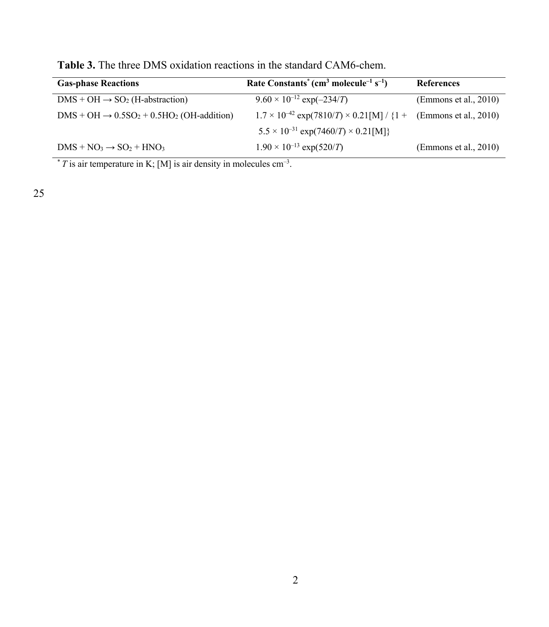| <b>Gas-phase Reactions</b>                                                         | Rate Constants <sup>*</sup> (cm <sup>3</sup> molecule <sup>-1</sup> s <sup>-1</sup> ) | <b>References</b>              |
|------------------------------------------------------------------------------------|---------------------------------------------------------------------------------------|--------------------------------|
| $DMS + OH \rightarrow SO2$ (H-abstraction)                                         | $9.60 \times 10^{-12}$ exp(-234/T)                                                    | $E$ mmons et al., 2010)        |
| $\text{DMS} + \text{OH} \rightarrow 0.5\text{SO}_2 + 0.5\text{HO}_2$ (OH-addition) | $1.7 \times 10^{-42}$ exp(7810/T) $\times$ 0.21[M] / {1 + (Emmons et al., 2010)       |                                |
|                                                                                    | $5.5 \times 10^{-31}$ exp(7460/T) $\times$ 0.21[M]}                                   |                                |
| $\text{DMS} + \text{NO}_3 \rightarrow \text{SO}_2 + \text{HNO}_3$                  | $1.90 \times 10^{-13}$ exp(520/T)                                                     | $\text{(Emmons et al., 2010)}$ |

**Table 3.** The three DMS oxidation reactions in the standard CAM6-chem.

 $*$  *T* is air temperature in K; [M] is air density in molecules cm<sup>-3</sup>.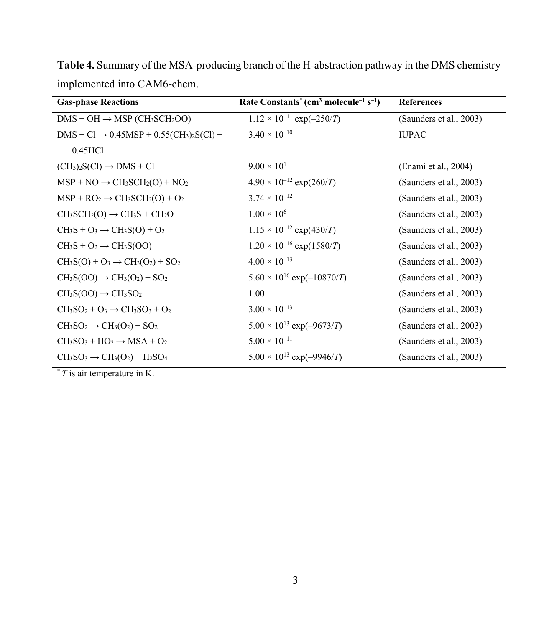| <b>Gas-phase Reactions</b>                           | Rate Constants <sup>*</sup> (cm <sup>3</sup> molecule <sup>-1</sup> s <sup>-1</sup> ) | <b>References</b>       |
|------------------------------------------------------|---------------------------------------------------------------------------------------|-------------------------|
| $DMS + OH \rightarrow MSP (CH_3SCH_2OO)$             | $1.12 \times 10^{-11}$ exp(-250/T)                                                    | (Saunders et al., 2003) |
| $DMS + Cl \rightarrow 0.45MSP + 0.55(CH_3)_2S(Cl) +$ | $3.40 \times 10^{-10}$                                                                | <b>IUPAC</b>            |
| 0.45HCl                                              |                                                                                       |                         |
| $(CH_3)_2S(Cl) \rightarrow DMS + Cl$                 | $9.00 \times 10^{1}$                                                                  | (Enami et al., 2004)    |
| $MSP + NO \rightarrow CH_3SCH_2(O) + NO_2$           | $4.90 \times 10^{-12}$ exp(260/T)                                                     | (Saunders et al., 2003) |
| $MSP + RO2 \rightarrow CH3SCH2(O) + O2$              | $3.74 \times 10^{-12}$                                                                | (Saunders et al., 2003) |
| $CH_3SCH_2(O) \rightarrow CH_3S + CH_2O$             | $1.00 \times 10^6$                                                                    | (Saunders et al., 2003) |
| $CH_3S + O_3 \rightarrow CH_3S(O) + O_2$             | $1.15 \times 10^{-12}$ exp(430/T)                                                     | (Saunders et al., 2003) |
| $CH_3S + O_2 \rightarrow CH_3S(OO)$                  | $1.20 \times 10^{-16}$ exp(1580/T)                                                    | (Saunders et al., 2003) |
| $CH3S(O) + O3 \rightarrow CH3(O2) + SO2$             | $4.00 \times 10^{-13}$                                                                | (Saunders et al., 2003) |
| $CH3S(OO) \rightarrow CH3(O2) + SO2$                 | $5.60 \times 10^{16}$ exp(-10870/T)                                                   | (Saunders et al., 2003) |
| $CH3S(OO) \rightarrow CH3SO2$                        | 1.00                                                                                  | (Saunders et al., 2003) |
| $CH3SO2 + O3 \rightarrow CH3SO3 + O2$                | $3.00 \times 10^{-13}$                                                                | (Saunders et al., 2003) |
| $CH3SO2 \rightarrow CH3(O2) + SO2$                   | $5.00 \times 10^{13}$ exp(-9673/T)                                                    | (Saunders et al., 2003) |
| $CH3SO3 + HO2 \rightarrow MSA + O2$                  | $5.00 \times 10^{-11}$                                                                | (Saunders et al., 2003) |
| $CH3SO3 \rightarrow CH3(O2) + H2SO4$                 | $5.00 \times 10^{13}$ exp(-9946/T)                                                    | (Saunders et al., 2003) |

**Table 4.** Summary of the MSA-producing branch of the H-abstraction pathway in the DMS chemistry implemented into CAM6-chem.

\* *T* is air temperature in K.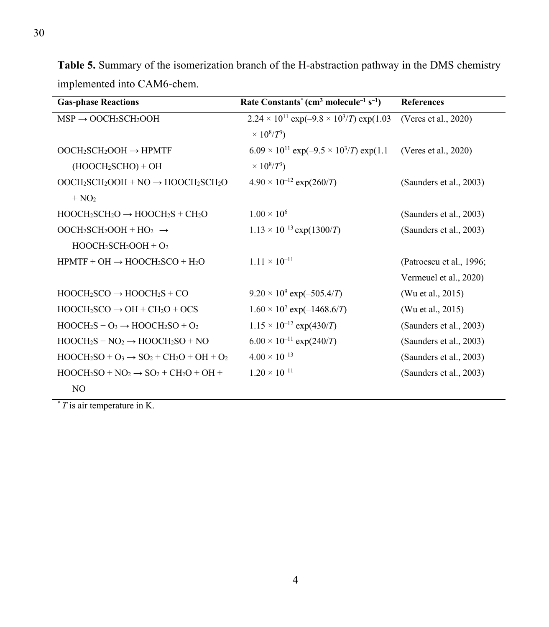| <b>Gas-phase Reactions</b>                       | Rate Constants <sup>*</sup> (cm <sup>3</sup> molecule <sup>-1</sup> s <sup>-1</sup> ) | <b>References</b>        |
|--------------------------------------------------|---------------------------------------------------------------------------------------|--------------------------|
| $MSP \rightarrow OOCH_2SCH_2OOH$                 | $2.24 \times 10^{11}$ exp(-9.8 $\times$ 10 <sup>3</sup> /T) exp(1.03                  | (Veres et al., 2020)     |
|                                                  | $\times 10^{8}/T^3$                                                                   |                          |
| $OOCH_2SCH_2OOH \rightarrow HPMTF$               | $6.09 \times 10^{11}$ exp(-9.5 $\times$ 10 <sup>3</sup> /T) exp(1.1                   | (Veres et al., 2020)     |
| $(HOOCH2SCHO) + OH$                              | $\times 10^{8}/T^3$                                                                   |                          |
| $OOCH_2SCH_2OOH + NO \rightarrow HOOCH_2SCH_2O$  | $4.90 \times 10^{-12}$ exp(260/T)                                                     | (Saunders et al., 2003)  |
| $+ NO2$                                          |                                                                                       |                          |
| $HOOCH_2SCH_2O \rightarrow HOOCH_2S + CH_2O$     | $1.00 \times 10^6$                                                                    | (Saunders et al., 2003)  |
| $OOCH_2SCH_2OOH + HO_2 \rightarrow$              | $1.13 \times 10^{-13}$ exp(1300/T)                                                    | (Saunders et al., 2003)  |
| $HOOCH2SCH2OOH + O2$                             |                                                                                       |                          |
| $HPMTF + OH \rightarrow HOOCH_2SCO + H_2O$       | $1.11 \times 10^{-11}$                                                                | (Patroescu et al., 1996; |
|                                                  |                                                                                       | Vermeuel et al., 2020)   |
| $HOOCH2SCO \rightarrow HOOCH2S + CO$             | $9.20 \times 10^9$ exp(-505.4/T)                                                      | (Wu et al., 2015)        |
| $HOOCH2SCO \rightarrow OH + CH2O + OCS$          | $1.60 \times 10^7$ exp(-1468.6/T)                                                     | (Wu et al., 2015)        |
| $HOOCH_2S + O_3 \rightarrow HOOCH_2SO + O_2$     | $1.15 \times 10^{-12}$ exp(430/T)                                                     | (Saunders et al., 2003)  |
| $HOOCH_2S + NO_2 \rightarrow HOOCH_2SO + NO$     | $6.00 \times 10^{-11}$ exp(240/T)                                                     | (Saunders et al., 2003)  |
| $HOOCH2SO + O3 \rightarrow SO2 + CH2O + OH + O2$ | $4.00 \times 10^{-13}$                                                                | (Saunders et al., 2003)  |
| $HOOCH2SO + NO2 \rightarrow SO2 + CH2O + OH +$   | $1.20 \times 10^{-11}$                                                                | (Saunders et al., 2003)  |
| N <sub>O</sub>                                   |                                                                                       |                          |

**Table 5.** Summary of the isomerization branch of the H-abstraction pathway in the DMS chemistry implemented into CAM6-chem.

\* *T* is air temperature in K.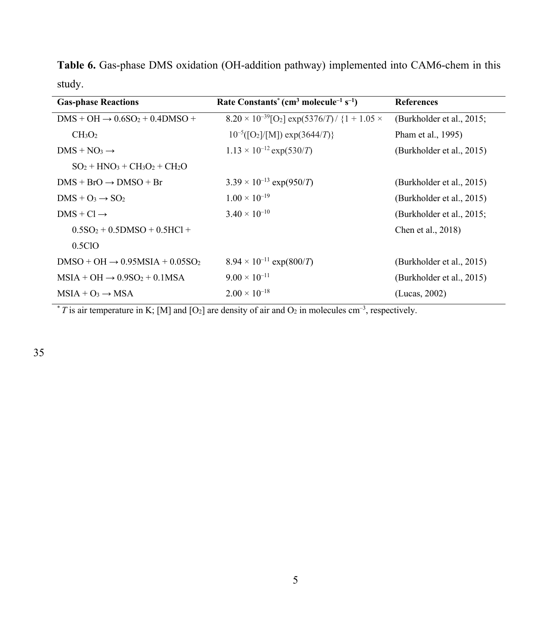**Table 6.** Gas-phase DMS oxidation (OH-addition pathway) implemented into CAM6-chem in this study.

| <b>Gas-phase Reactions</b>                                                     | Rate Constants <sup>*</sup> (cm <sup>3</sup> molecule <sup>-1</sup> s <sup>-1</sup> ) | <b>References</b>         |
|--------------------------------------------------------------------------------|---------------------------------------------------------------------------------------|---------------------------|
| $DMS + OH \rightarrow 0.6SO2 + 0.4DMSO +$                                      | $8.20 \times 10^{-39}$ [O <sub>2</sub> ] exp(5376/T)/ {1 + 1.05 $\times$              | (Burkholder et al., 2015; |
| CH <sub>3</sub> O <sub>2</sub>                                                 | $10^{-5}([O_2]/[M])$ exp(3644/T)}                                                     | Pham et al., 1995)        |
| $DMS + NO_3 \rightarrow$                                                       | $1.13 \times 10^{-12}$ exp(530/T)                                                     | (Burkholder et al., 2015) |
| $SO_2$ + HNO <sub>3</sub> + CH <sub>3</sub> O <sub>2</sub> + CH <sub>2</sub> O |                                                                                       |                           |
| $DMS + BrO \rightarrow DMSO + Br$                                              | $3.39 \times 10^{-13}$ exp(950/T)                                                     | (Burkholder et al., 2015) |
| $DMS + O_3 \rightarrow SO_2$                                                   | $1.00 \times 10^{-19}$                                                                | (Burkholder et al., 2015) |
| $DMS + Cl \rightarrow$                                                         | $3.40 \times 10^{-10}$                                                                | (Burkholder et al., 2015; |
| $0.5SO2 + 0.5DMSO + 0.5HCl +$                                                  |                                                                                       | Chen et al., 2018)        |
| 0.5ClO                                                                         |                                                                                       |                           |
| $DMSO + OH \rightarrow 0.95MSIA + 0.05SO2$                                     | $8.94 \times 10^{-11}$ exp(800/T)                                                     | (Burkholder et al., 2015) |
| $MSIA + OH \rightarrow 0.9SO_2 + 0.1MSA$                                       | $9.00 \times 10^{-11}$                                                                | (Burkholder et al., 2015) |
| $MSIA + O_3 \rightarrow MSA$                                                   | $2.00 \times 10^{-18}$                                                                | (Lucas, 2002)             |

 $*$  *T* is air temperature in K; [M] and [O<sub>2</sub>] are density of air and O<sub>2</sub> in molecules cm<sup>-3</sup>, respectively.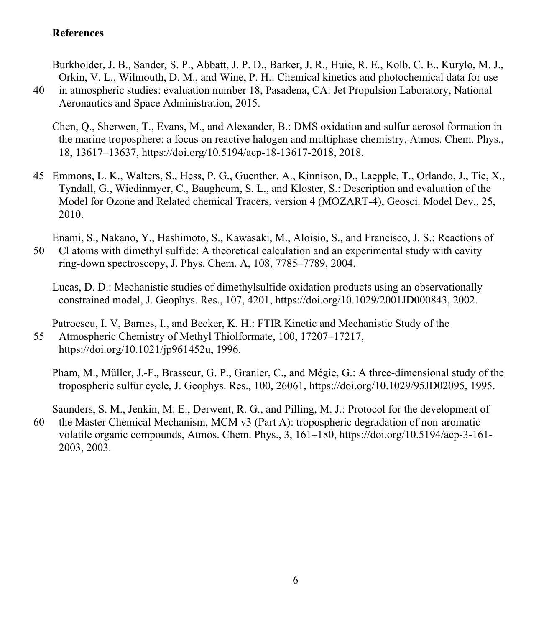## **References**

Burkholder, J. B., Sander, S. P., Abbatt, J. P. D., Barker, J. R., Huie, R. E., Kolb, C. E., Kurylo, M. J., Orkin, V. L., Wilmouth, D. M., and Wine, P. H.: Chemical kinetics and photochemical data for use 40 in atmospheric studies: evaluation number 18, Pasadena, CA: Jet Propulsion Laboratory, National Aeronautics and Space Administration, 2015.

Chen, Q., Sherwen, T., Evans, M., and Alexander, B.: DMS oxidation and sulfur aerosol formation in the marine troposphere: a focus on reactive halogen and multiphase chemistry, Atmos. Chem. Phys., 18, 13617–13637, https://doi.org/10.5194/acp-18-13617-2018, 2018.

45 Emmons, L. K., Walters, S., Hess, P. G., Guenther, A., Kinnison, D., Laepple, T., Orlando, J., Tie, X., Tyndall, G., Wiedinmyer, C., Baughcum, S. L., and Kloster, S.: Description and evaluation of the Model for Ozone and Related chemical Tracers, version 4 (MOZART-4), Geosci. Model Dev., 25, 2010.

Enami, S., Nakano, Y., Hashimoto, S., Kawasaki, M., Aloisio, S., and Francisco, J. S.: Reactions of 50 Cl atoms with dimethyl sulfide: A theoretical calculation and an experimental study with cavity ring-down spectroscopy, J. Phys. Chem. A, 108, 7785–7789, 2004.

Lucas, D. D.: Mechanistic studies of dimethylsulfide oxidation products using an observationally constrained model, J. Geophys. Res., 107, 4201, https://doi.org/10.1029/2001JD000843, 2002.

Patroescu, I. V, Barnes, I., and Becker, K. H.: FTIR Kinetic and Mechanistic Study of the 55 Atmospheric Chemistry of Methyl Thiolformate, 100, 17207–17217, https://doi.org/10.1021/jp961452u, 1996.

Pham, M., Müller, J.-F., Brasseur, G. P., Granier, C., and Mégie, G.: A three-dimensional study of the tropospheric sulfur cycle, J. Geophys. Res., 100, 26061, https://doi.org/10.1029/95JD02095, 1995.

Saunders, S. M., Jenkin, M. E., Derwent, R. G., and Pilling, M. J.: Protocol for the development of 60 the Master Chemical Mechanism, MCM v3 (Part A): tropospheric degradation of non-aromatic volatile organic compounds, Atmos. Chem. Phys., 3, 161–180, https://doi.org/10.5194/acp-3-161- 2003, 2003.